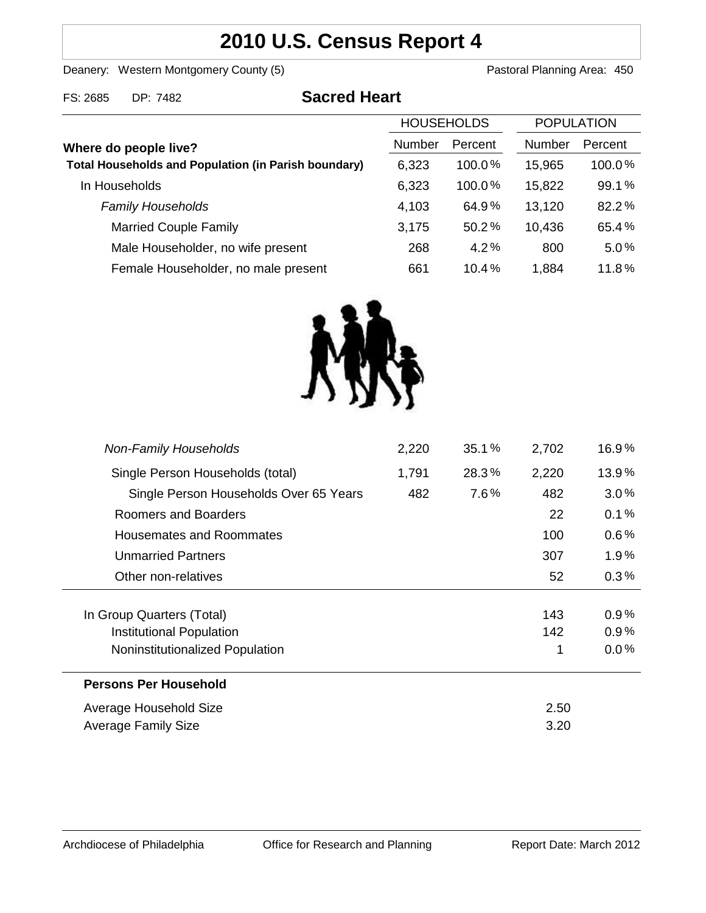# **2010 U.S. Census Report 4**

Deanery: Western Montgomery County (5) County (5) Pastoral Planning Area: 450

| FS: 2685 | DP: 7482 | <b>Sacred Heart</b> |
|----------|----------|---------------------|
|          |          |                     |

|                                                             | <b>HOUSEHOLDS</b> |           | <b>POPULATION</b> |         |
|-------------------------------------------------------------|-------------------|-----------|-------------------|---------|
| Where do people live?                                       | <b>Number</b>     | Percent   | <b>Number</b>     | Percent |
| <b>Total Households and Population (in Parish boundary)</b> | 6,323             | $100.0\%$ | 15,965            | 100.0%  |
| In Households                                               | 6,323             | $100.0\%$ | 15,822            | 99.1%   |
| <b>Family Households</b>                                    | 4,103             | 64.9%     | 13,120            | 82.2%   |
| <b>Married Couple Family</b>                                | 3,175             | 50.2%     | 10,436            | 65.4%   |
| Male Householder, no wife present                           | 268               | 4.2%      | 800               | 5.0%    |
| Female Householder, no male present                         | 661               | 10.4%     | 1,884             | 11.8%   |
|                                                             |                   |           |                   |         |



| <b>Non-Family Households</b>           | 2,220 | 35.1% | 2,702 | 16.9%   |
|----------------------------------------|-------|-------|-------|---------|
| Single Person Households (total)       | 1,791 | 28.3% | 2,220 | 13.9%   |
| Single Person Households Over 65 Years | 482   | 7.6%  | 482   | 3.0%    |
| Roomers and Boarders                   |       |       | 22    | 0.1%    |
| Housemates and Roommates               |       |       | 100   | $0.6\%$ |
| <b>Unmarried Partners</b>              |       |       | 307   | $1.9\%$ |
| Other non-relatives                    |       |       | 52    | 0.3%    |
|                                        |       |       |       |         |
| In Group Quarters (Total)              |       |       | 143   | $0.9\%$ |
| Institutional Population               |       |       | 142   | 0.9%    |
| Noninstitutionalized Population        |       |       |       | 0.0%    |
| <b>Persons Per Household</b>           |       |       |       |         |
| Average Household Size                 |       |       | 2.50  |         |
| Average Family Size                    |       |       | 3.20  |         |
|                                        |       |       |       |         |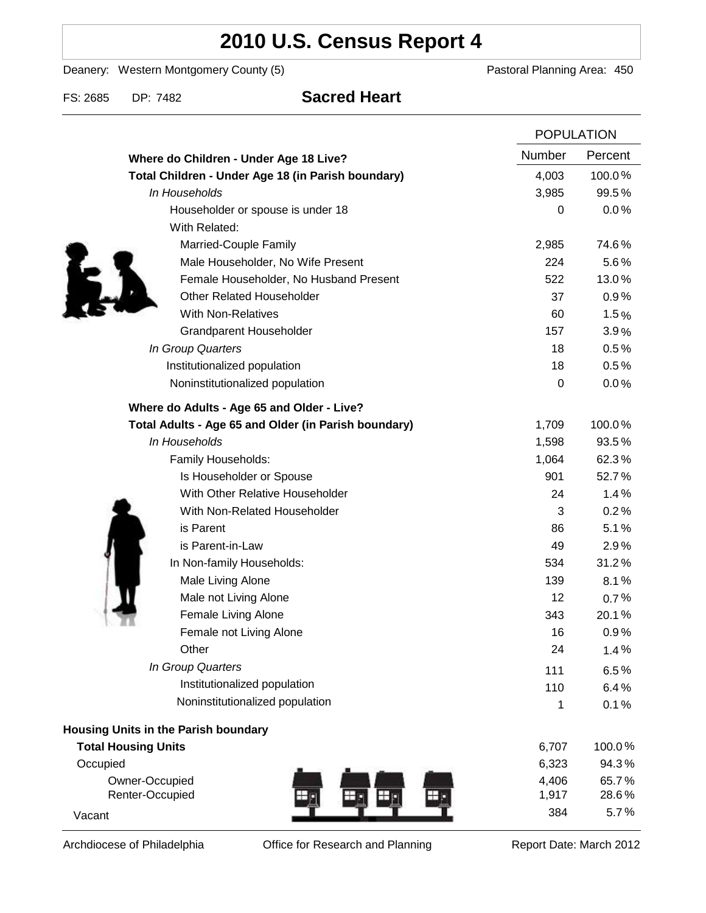# **2010 U.S. Census Report 4**

Deanery: Western Montgomery County (5) Deanery: Western Montgomery County (5)

FS: 2685 DP: 7482 **Sacred Heart**

|                                                      | <b>POPULATION</b> |         |
|------------------------------------------------------|-------------------|---------|
| Where do Children - Under Age 18 Live?               | Number            | Percent |
| Total Children - Under Age 18 (in Parish boundary)   | 4,003             | 100.0%  |
| In Households                                        | 3,985             | 99.5%   |
| Householder or spouse is under 18                    | 0                 | 0.0%    |
| With Related:                                        |                   |         |
| Married-Couple Family                                | 2,985             | 74.6%   |
| Male Householder, No Wife Present                    | 224               | 5.6%    |
| Female Householder, No Husband Present               | 522               | 13.0%   |
| <b>Other Related Householder</b>                     | 37                | 0.9%    |
| <b>With Non-Relatives</b>                            | 60                | 1.5%    |
| <b>Grandparent Householder</b>                       | 157               | 3.9%    |
| In Group Quarters                                    | 18                | 0.5%    |
| Institutionalized population                         | 18                | 0.5%    |
| Noninstitutionalized population                      | 0                 | 0.0%    |
| Where do Adults - Age 65 and Older - Live?           |                   |         |
| Total Adults - Age 65 and Older (in Parish boundary) | 1,709             | 100.0%  |
| In Households                                        | 1,598             | 93.5%   |
| Family Households:                                   | 1,064             | 62.3%   |
| Is Householder or Spouse                             | 901               | 52.7%   |
| With Other Relative Householder                      | 24                | 1.4%    |
| With Non-Related Householder                         | 3                 | 0.2%    |
| is Parent                                            | 86                | 5.1%    |
| is Parent-in-Law                                     | 49                | 2.9%    |
| In Non-family Households:                            | 534               | 31.2%   |
| Male Living Alone                                    | 139               | 8.1%    |
| Male not Living Alone                                | 12                | 0.7%    |
| Female Living Alone                                  | 343               | 20.1%   |
| Female not Living Alone                              | 16                | 0.9%    |
| Other                                                | 24                | 1.4%    |
| In Group Quarters                                    | 111               | 6.5%    |
| Institutionalized population                         | 110               | 6.4%    |
| Noninstitutionalized population                      | 1                 | 0.1%    |
| <b>Housing Units in the Parish boundary</b>          |                   |         |
| <b>Total Housing Units</b>                           | 6,707             | 100.0%  |
| Occupied                                             | 6,323             | 94.3%   |
| Owner-Occupied                                       | 4,406             | 65.7%   |
| Renter-Occupied<br>丑                                 | 1,917             | 28.6%   |
| Vacant                                               | 384               | 5.7%    |

Archdiocese of Philadelphia **Office for Research and Planning** Report Date: March 2012